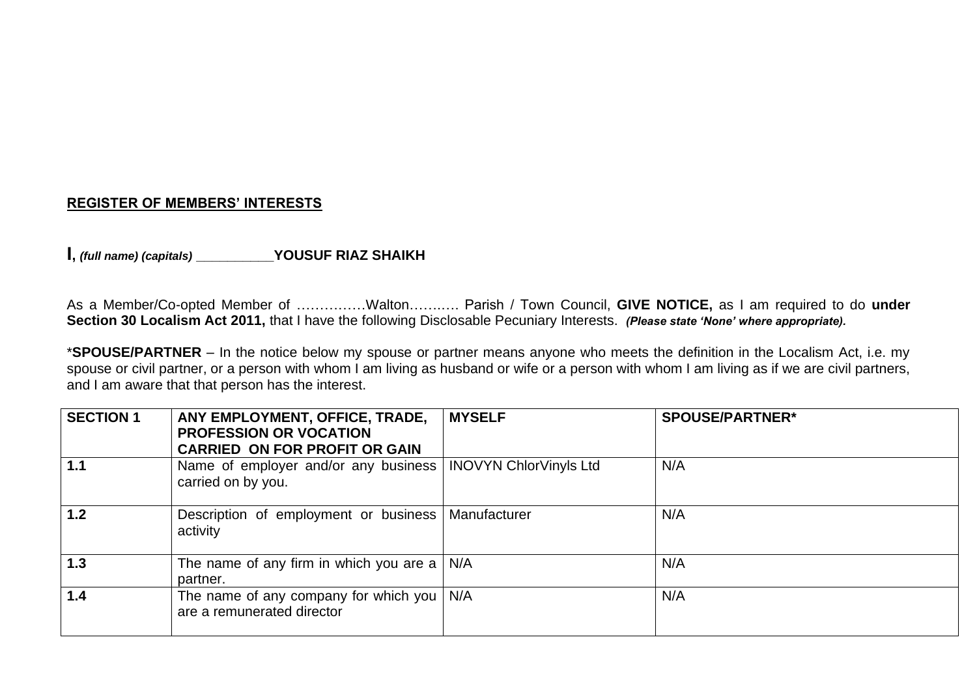### **REGISTER OF MEMBERS' INTERESTS**

**I**, *(full name) (capitals)* **WE** YOUSUF RIAZ SHAIKH

As a Member/Co-opted Member of ……………Walton…….…. Parish / Town Council, **GIVE NOTICE,** as I am required to do **under Section 30 Localism Act 2011,** that I have the following Disclosable Pecuniary Interests. *(Please state 'None' where appropriate).*

\***SPOUSE/PARTNER** – In the notice below my spouse or partner means anyone who meets the definition in the Localism Act, i.e. my spouse or civil partner, or a person with whom I am living as husband or wife or a person with whom I am living as if we are civil partners, and I am aware that that person has the interest.

| <b>SECTION 1</b> | ANY EMPLOYMENT, OFFICE, TRADE,<br><b>PROFESSION OR VOCATION</b><br><b>CARRIED ON FOR PROFIT OR GAIN</b> | <b>MYSELF</b> | <b>SPOUSE/PARTNER*</b> |
|------------------|---------------------------------------------------------------------------------------------------------|---------------|------------------------|
| 1.1              | Name of employer and/or any business   INOVYN ChlorVinyls Ltd<br>carried on by you.                     |               | N/A                    |
| 1.2              | Description of employment or business<br>activity                                                       | Manufacturer  | N/A                    |
| 1.3              | The name of any firm in which you are a $\vert$ N/A<br>partner.                                         |               | N/A                    |
| 1.4              | The name of any company for which you  <br>are a remunerated director                                   | N/A           | N/A                    |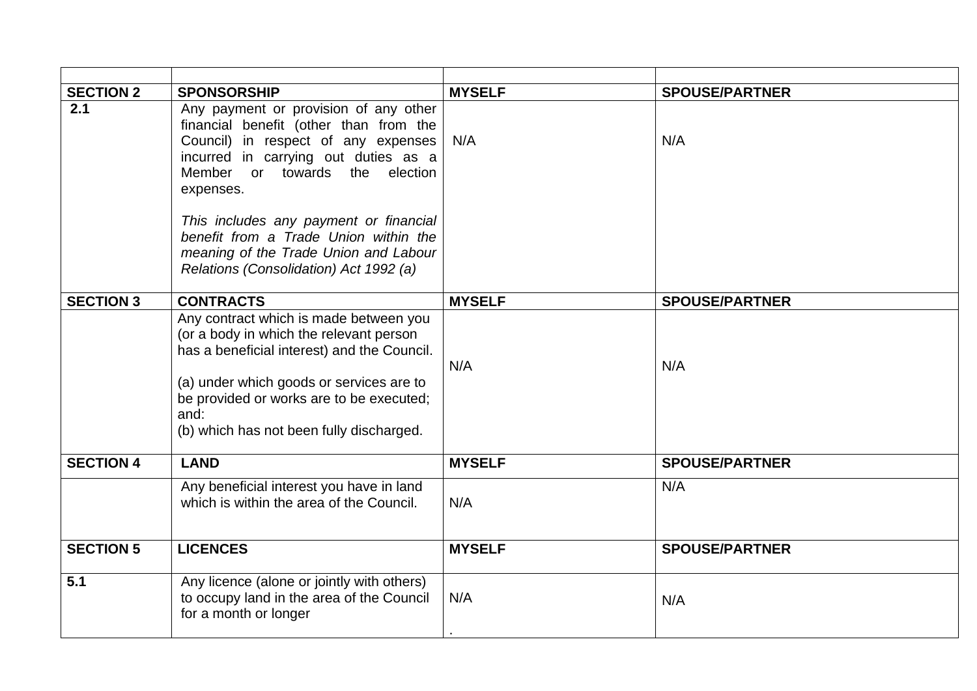| <b>SECTION 2</b> | <b>SPONSORSHIP</b>                                                                                                                                                                                                                                                           | <b>MYSELF</b> | <b>SPOUSE/PARTNER</b> |
|------------------|------------------------------------------------------------------------------------------------------------------------------------------------------------------------------------------------------------------------------------------------------------------------------|---------------|-----------------------|
| 2.1              | Any payment or provision of any other<br>financial benefit (other than from the<br>Council) in respect of any expenses<br>incurred in carrying out duties as a<br>or towards the<br>Member<br>election<br>expenses.                                                          | N/A           | N/A                   |
|                  | This includes any payment or financial<br>benefit from a Trade Union within the<br>meaning of the Trade Union and Labour<br>Relations (Consolidation) Act 1992 (a)                                                                                                           |               |                       |
| <b>SECTION 3</b> | <b>CONTRACTS</b>                                                                                                                                                                                                                                                             | <b>MYSELF</b> | <b>SPOUSE/PARTNER</b> |
|                  | Any contract which is made between you<br>(or a body in which the relevant person<br>has a beneficial interest) and the Council.<br>(a) under which goods or services are to<br>be provided or works are to be executed;<br>and:<br>(b) which has not been fully discharged. | N/A           | N/A                   |
| <b>SECTION 4</b> | <b>LAND</b>                                                                                                                                                                                                                                                                  | <b>MYSELF</b> | <b>SPOUSE/PARTNER</b> |
|                  | Any beneficial interest you have in land<br>which is within the area of the Council.                                                                                                                                                                                         | N/A           | N/A                   |
| <b>SECTION 5</b> | <b>LICENCES</b>                                                                                                                                                                                                                                                              | <b>MYSELF</b> | <b>SPOUSE/PARTNER</b> |
| 5.1              | Any licence (alone or jointly with others)<br>to occupy land in the area of the Council<br>for a month or longer                                                                                                                                                             | N/A           | N/A                   |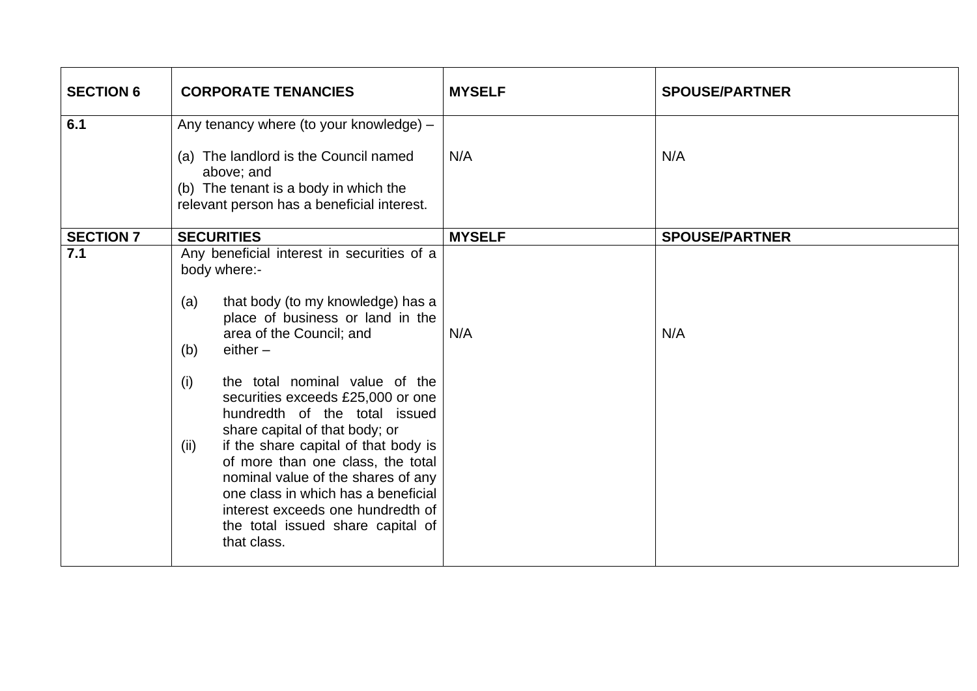| <b>SECTION 6</b> | <b>CORPORATE TENANCIES</b>                                                                                                                                                                                                                                                                                                                                                                                                                                                                                                                                                                              | <b>MYSELF</b> | <b>SPOUSE/PARTNER</b> |
|------------------|---------------------------------------------------------------------------------------------------------------------------------------------------------------------------------------------------------------------------------------------------------------------------------------------------------------------------------------------------------------------------------------------------------------------------------------------------------------------------------------------------------------------------------------------------------------------------------------------------------|---------------|-----------------------|
| 6.1              | Any tenancy where (to your knowledge) -<br>(a) The landlord is the Council named<br>above; and<br>(b) The tenant is a body in which the<br>relevant person has a beneficial interest.                                                                                                                                                                                                                                                                                                                                                                                                                   | N/A           | N/A                   |
| <b>SECTION 7</b> | <b>SECURITIES</b>                                                                                                                                                                                                                                                                                                                                                                                                                                                                                                                                                                                       | <b>MYSELF</b> | <b>SPOUSE/PARTNER</b> |
| 7.1              | Any beneficial interest in securities of a<br>body where:-<br>that body (to my knowledge) has a<br>(a)<br>place of business or land in the<br>area of the Council; and<br>$either -$<br>(b)<br>(i)<br>the total nominal value of the<br>securities exceeds £25,000 or one<br>hundredth of the total issued<br>share capital of that body; or<br>if the share capital of that body is<br>(ii)<br>of more than one class, the total<br>nominal value of the shares of any<br>one class in which has a beneficial<br>interest exceeds one hundredth of<br>the total issued share capital of<br>that class. | N/A           | N/A                   |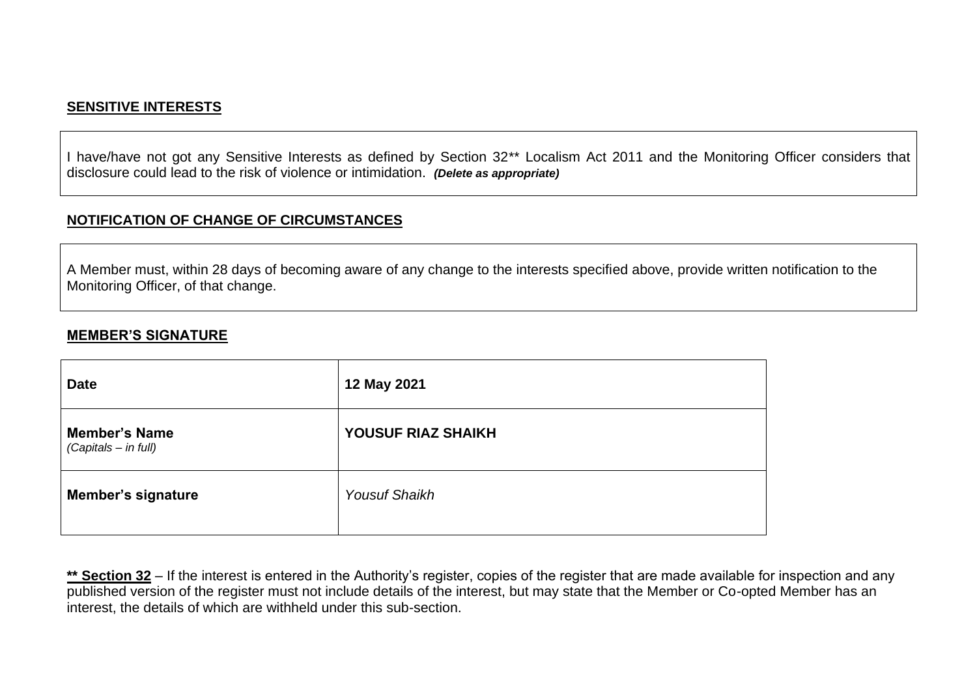### **SENSITIVE INTERESTS**

I have/have not got any Sensitive Interests as defined by Section 32\*\* Localism Act 2011 and the Monitoring Officer considers that disclosure could lead to the risk of violence or intimidation. *(Delete as appropriate)*

#### **NOTIFICATION OF CHANGE OF CIRCUMSTANCES**

A Member must, within 28 days of becoming aware of any change to the interests specified above, provide written notification to the Monitoring Officer, of that change.

#### **MEMBER'S SIGNATURE**

| <b>Date</b>                                  | 12 May 2021          |
|----------------------------------------------|----------------------|
| <b>Member's Name</b><br>(Capitals - in full) | YOUSUF RIAZ SHAIKH   |
| <b>Member's signature</b>                    | <b>Yousuf Shaikh</b> |

\*\* Section 32 – If the interest is entered in the Authority's register, copies of the register that are made available for inspection and any published version of the register must not include details of the interest, but may state that the Member or Co-opted Member has an interest, the details of which are withheld under this sub-section.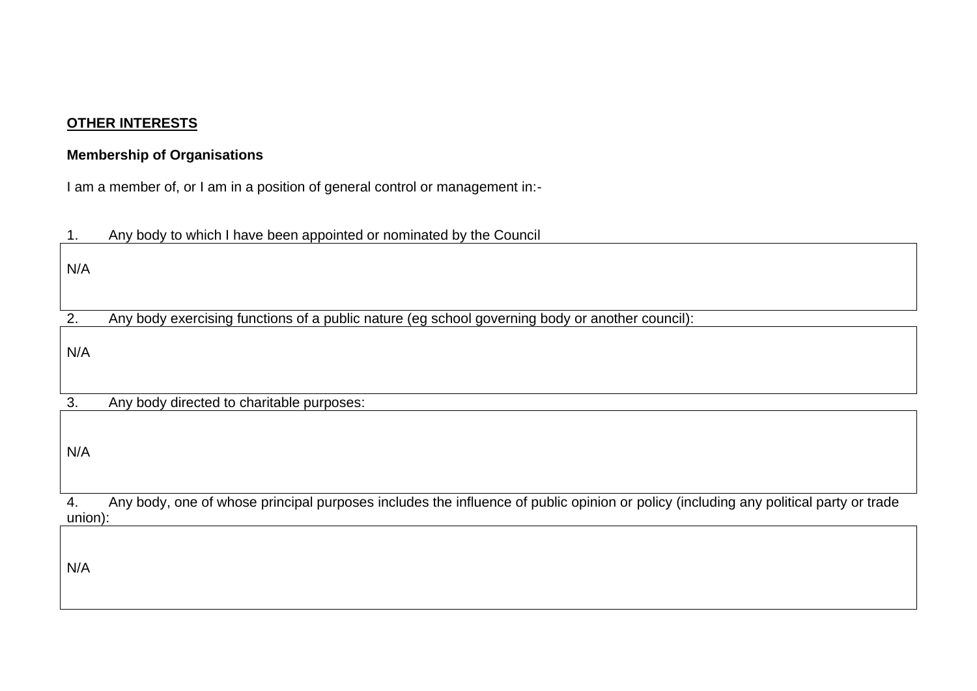### **OTHER INTERESTS**

## **Membership of Organisations**

I am a member of, or I am in a position of general control or management in:-

| 1.      | Any body to which I have been appointed or nominated by the Council                                                                  |
|---------|--------------------------------------------------------------------------------------------------------------------------------------|
| N/A     |                                                                                                                                      |
| 2.      | Any body exercising functions of a public nature (eg school governing body or another council):                                      |
| N/A     |                                                                                                                                      |
| 3.      | Any body directed to charitable purposes:                                                                                            |
| N/A     |                                                                                                                                      |
| 4.      | Any body, one of whose principal purposes includes the influence of public opinion or policy (including any political party or trade |
| union): |                                                                                                                                      |
| N/A     |                                                                                                                                      |